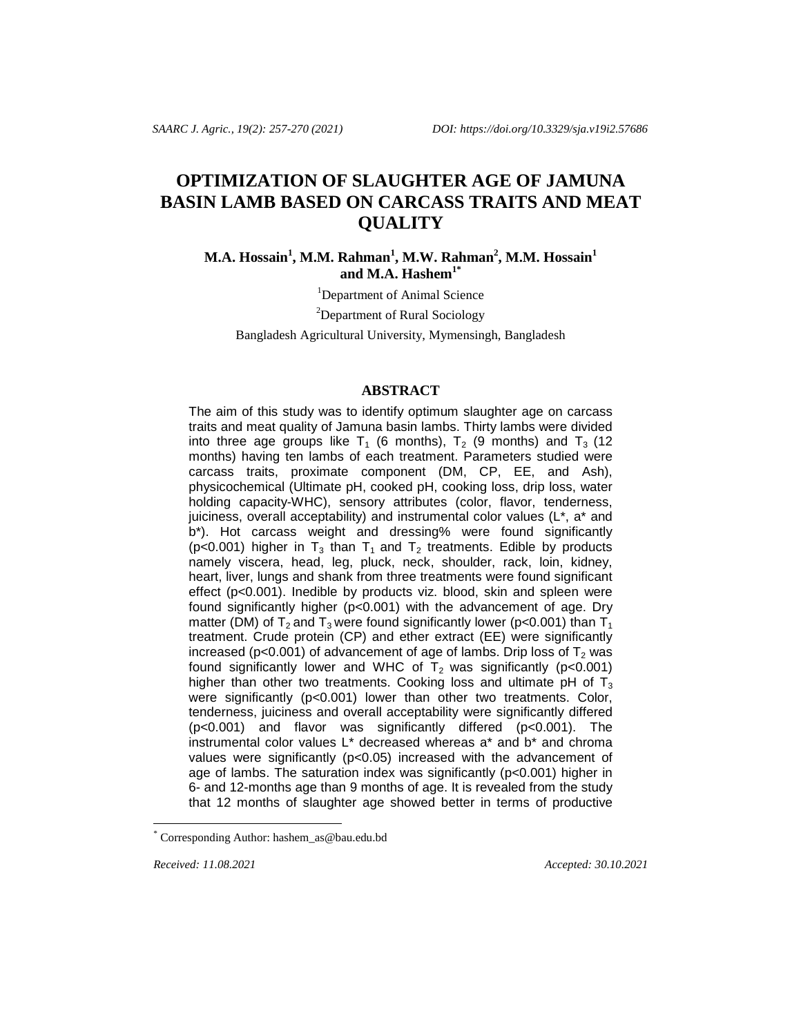# **OPTIMIZATION OF SLAUGHTER AGE OF JAMUNA BASIN LAMB BASED ON CARCASS TRAITS AND MEAT QUALITY**

**M.A. Hossain<sup>1</sup> , M.M. Rahman<sup>1</sup> , M.W. Rahman<sup>2</sup> , M.M. Hossain<sup>1</sup> and M.A. Hashem1\***

<sup>1</sup>Department of Animal Science

<sup>2</sup>Department of Rural Sociology

Bangladesh Agricultural University, Mymensingh, Bangladesh

#### **ABSTRACT**

The aim of this study was to identify optimum slaughter age on carcass traits and meat quality of Jamuna basin lambs. Thirty lambs were divided into three age groups like  $T_1$  (6 months),  $T_2$  (9 months) and  $T_3$  (12 months) having ten lambs of each treatment. Parameters studied were carcass traits, proximate component (DM, CP, EE, and Ash), physicochemical (Ultimate pH, cooked pH, cooking loss, drip loss, water holding capacity-WHC), sensory attributes (color, flavor, tenderness, juiciness, overall acceptability) and instrumental color values (L\*, a\* and b\*). Hot carcass weight and dressing% were found significantly (p<0.001) higher in  $T_3$  than  $T_1$  and  $T_2$  treatments. Edible by products namely viscera, head, leg, pluck, neck, shoulder, rack, loin, kidney, heart, liver, lungs and shank from three treatments were found significant effect (p<0.001). Inedible by products viz. blood, skin and spleen were found significantly higher (p<0.001) with the advancement of age. Dry matter (DM) of  $T_2$  and  $T_3$  were found significantly lower (p<0.001) than  $T_1$ treatment. Crude protein (CP) and ether extract (EE) were significantly increased ( $p$ <0.001) of advancement of age of lambs. Drip loss of  $T_2$  was found significantly lower and WHC of  $T_2$  was significantly (p<0.001) higher than other two treatments. Cooking loss and ultimate pH of  $T_3$ were significantly (p<0.001) lower than other two treatments. Color, tenderness, juiciness and overall acceptability were significantly differed (p<0.001) and flavor was significantly differed (p<0.001). The instrumental color values L\* decreased whereas a\* and b\* and chroma values were significantly (p<0.05) increased with the advancement of age of lambs. The saturation index was significantly (p<0.001) higher in 6- and 12-months age than 9 months of age. It is revealed from the study that 12 months of slaughter age showed better in terms of productive

l

*Received: 11.08.2021 Accepted: 30.10.2021* 

Corresponding Author[: hashem\\_as@bau.edu.bd](mailto:hashem_as@bau.edu.bd)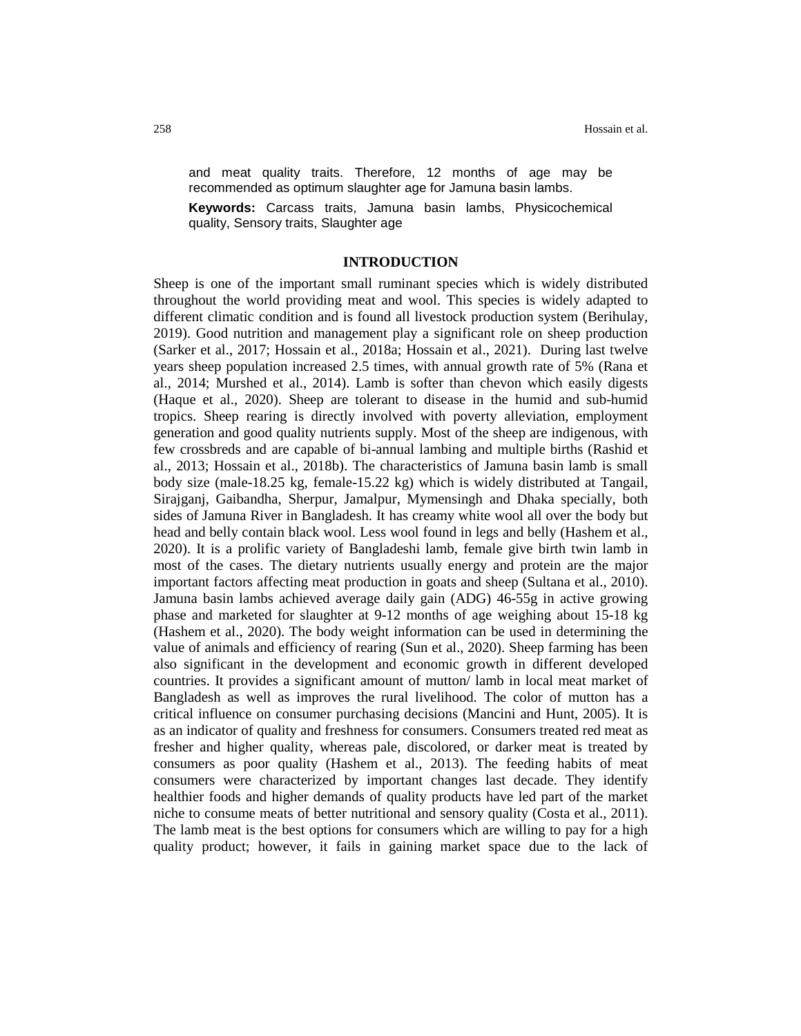and meat quality traits. Therefore, 12 months of age may be recommended as optimum slaughter age for Jamuna basin lambs.

**Keywords:** Carcass traits, Jamuna basin lambs, Physicochemical quality, Sensory traits, Slaughter age

#### **INTRODUCTION**

Sheep is one of the important small ruminant species which is widely distributed throughout the world providing meat and wool. This species is widely adapted to different climatic condition and is found all livestock production system (Berihulay, 2019). Good nutrition and management play a significant role on sheep production (Sarker et al., 2017; Hossain et al., 2018a; Hossain et al., 2021). During last twelve years sheep population increased 2.5 times, with annual growth rate of 5% (Rana et al., 2014; Murshed et al., 2014). Lamb is softer than chevon which easily digests (Haque et al., 2020). Sheep are tolerant to disease in the humid and sub-humid tropics. Sheep rearing is directly involved with poverty alleviation, employment generation and good quality nutrients supply. Most of the sheep are indigenous, with few crossbreds and are capable of bi-annual lambing and multiple births (Rashid et al., 2013; Hossain et al., 2018b). The characteristics of Jamuna basin lamb is small body size (male-18.25 kg, female-15.22 kg) which is widely distributed at Tangail, Sirajganj, Gaibandha, Sherpur, Jamalpur, Mymensingh and Dhaka specially, both sides of Jamuna River in Bangladesh. It has creamy white wool all over the body but head and belly contain black wool. Less wool found in legs and belly (Hashem et al., 2020). It is a prolific variety of Bangladeshi lamb, female give birth twin lamb in most of the cases. The dietary nutrients usually energy and protein are the major important factors affecting meat production in goats and sheep (Sultana et al., 2010). Jamuna basin lambs achieved average daily gain (ADG) 46-55g in active growing phase and marketed for slaughter at 9-12 months of age weighing about 15-18 kg (Hashem et al., 2020). The body weight information can be used in determining the value of animals and efficiency of rearing (Sun et al., 2020). Sheep farming has been also significant in the development and economic growth in different developed countries. It provides a significant amount of mutton/ lamb in local meat market of Bangladesh as well as improves the rural livelihood. The color of mutton has a critical influence on consumer purchasing decisions (Mancini and Hunt, 2005). It is as an indicator of quality and freshness for consumers. Consumers treated red meat as fresher and higher quality, whereas pale, discolored, or darker meat is treated by consumers as poor quality (Hashem et al., 2013). The feeding habits of meat consumers were characterized by important changes last decade. They identify healthier foods and higher demands of quality products have led part of the market niche to consume meats of better nutritional and sensory quality (Costa et al., 2011). The lamb meat is the best options for consumers which are willing to pay for a high quality product; however, it fails in gaining market space due to the lack of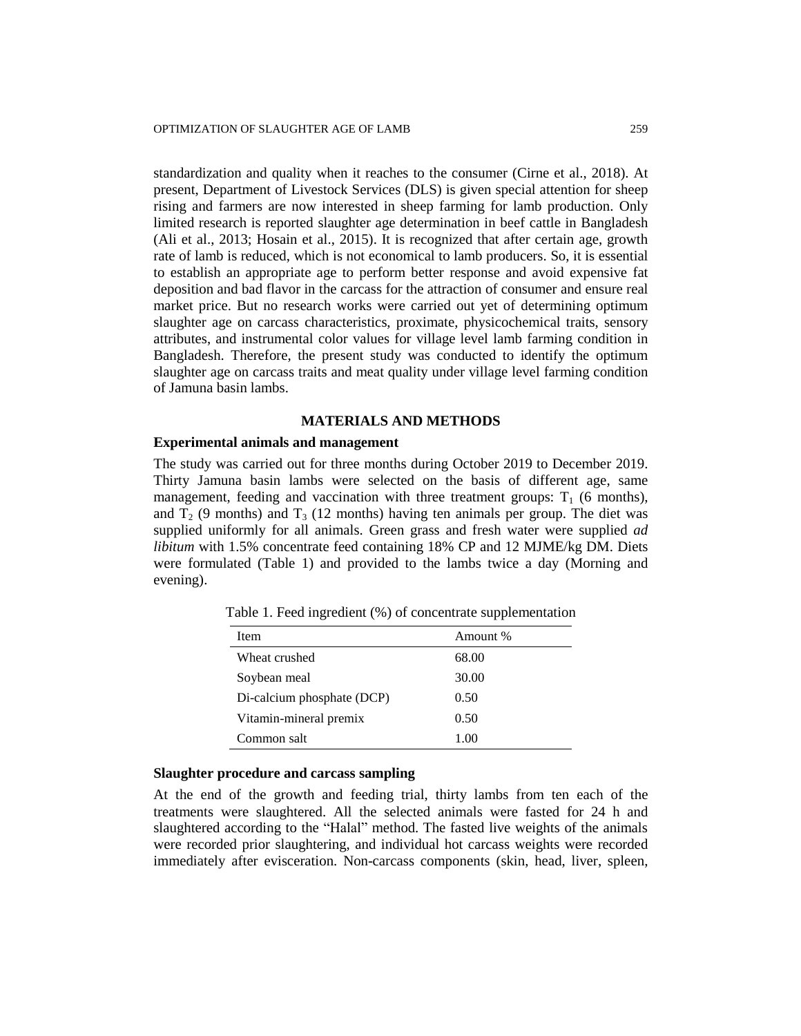standardization and quality when it reaches to the consumer (Cirne et al., 2018). At present, Department of Livestock Services (DLS) is given special attention for sheep rising and farmers are now interested in sheep farming for lamb production. Only limited research is reported slaughter age determination in beef cattle in Bangladesh (Ali et al., 2013; Hosain et al., 2015). It is recognized that after certain age, growth rate of lamb is reduced, which is not economical to lamb producers. So, it is essential to establish an appropriate age to perform better response and avoid expensive fat deposition and bad flavor in the carcass for the attraction of consumer and ensure real market price. But no research works were carried out yet of determining optimum slaughter age on carcass characteristics, proximate, physicochemical traits, sensory attributes, and instrumental color values for village level lamb farming condition in Bangladesh. Therefore, the present study was conducted to identify the optimum slaughter age on carcass traits and meat quality under village level farming condition of Jamuna basin lambs.

## **MATERIALS AND METHODS**

## **Experimental animals and management**

The study was carried out for three months during October 2019 to December 2019. Thirty Jamuna basin lambs were selected on the basis of different age, same management, feeding and vaccination with three treatment groups:  $T_1$  (6 months), and  $T_2$  (9 months) and  $T_3$  (12 months) having ten animals per group. The diet was supplied uniformly for all animals. Green grass and fresh water were supplied *ad libitum* with 1.5% concentrate feed containing 18% CP and 12 MJME/kg DM. Diets were formulated (Table 1) and provided to the lambs twice a day (Morning and evening).

| Item                       | Amount % |
|----------------------------|----------|
| Wheat crushed              | 68.00    |
| Soybean meal               | 30.00    |
| Di-calcium phosphate (DCP) | 0.50     |
| Vitamin-mineral premix     | 0.50     |
| Common salt                | 1.00     |

Table 1. Feed ingredient (%) of concentrate supplementation

#### **Slaughter procedure and carcass sampling**

At the end of the growth and feeding trial, thirty lambs from ten each of the treatments were slaughtered. All the selected animals were fasted for 24 h and slaughtered according to the "Halal" method. The fasted live weights of the animals were recorded prior slaughtering, and individual hot carcass weights were recorded immediately after evisceration. Non-carcass components (skin, head, liver, spleen,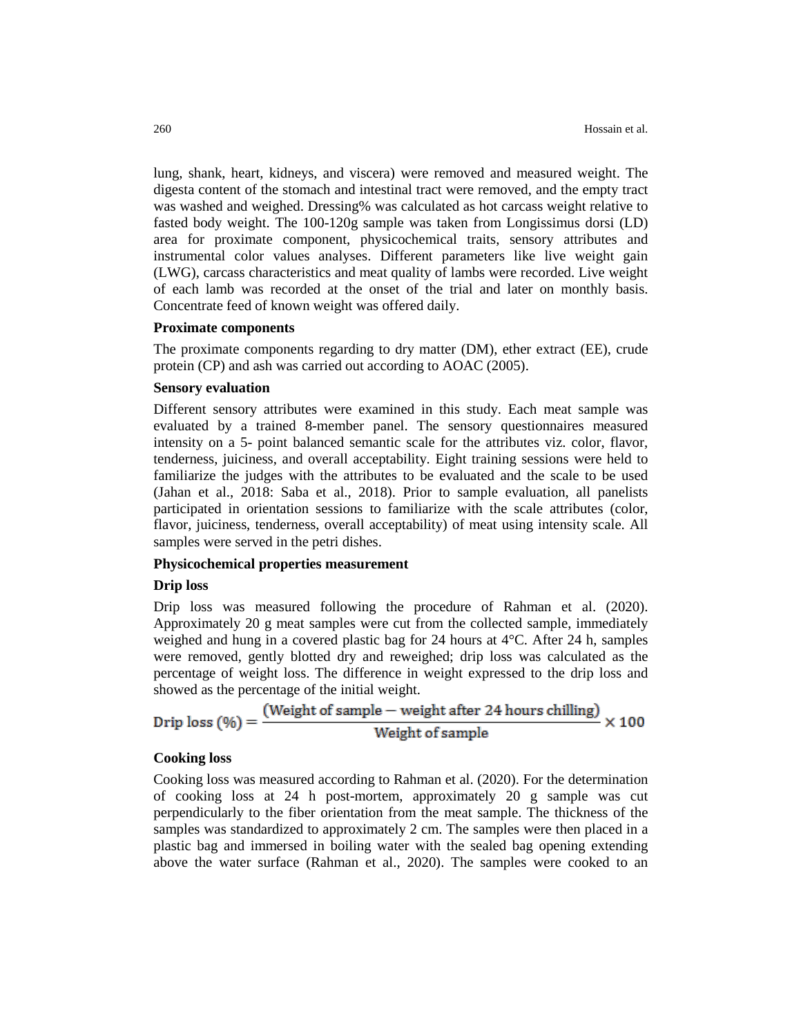lung, shank, heart, kidneys, and viscera) were removed and measured weight. The digesta content of the stomach and intestinal tract were removed, and the empty tract was washed and weighed. Dressing% was calculated as hot carcass weight relative to fasted body weight. The 100-120g sample was taken from Longissimus dorsi (LD) area for proximate component, physicochemical traits, sensory attributes and instrumental color values analyses. Different parameters like live weight gain (LWG), carcass characteristics and meat quality of lambs were recorded. Live weight of each lamb was recorded at the onset of the trial and later on monthly basis. Concentrate feed of known weight was offered daily.

#### **Proximate components**

The proximate components regarding to dry matter (DM), ether extract (EE), crude protein (CP) and ash was carried out according to AOAC (2005).

## **Sensory evaluation**

Different sensory attributes were examined in this study. Each meat sample was evaluated by a trained 8-member panel. The sensory questionnaires measured intensity on a 5- point balanced semantic scale for the attributes viz. color, flavor, tenderness, juiciness, and overall acceptability. Eight training sessions were held to familiarize the judges with the attributes to be evaluated and the scale to be used (Jahan et al., 2018: Saba et al., 2018). Prior to sample evaluation, all panelists participated in orientation sessions to familiarize with the scale attributes (color, flavor, juiciness, tenderness, overall acceptability) of meat using intensity scale. All samples were served in the petri dishes.

### **Physicochemical properties measurement**

## **Drip loss**

Drip loss was measured following the procedure of Rahman et al. (2020). Approximately 20 g meat samples were cut from the collected sample, immediately weighed and hung in a covered plastic bag for 24 hours at 4°C. After 24 h, samples were removed, gently blotted dry and reweighed; drip loss was calculated as the percentage of weight loss. The difference in weight expressed to the drip loss and showed as the percentage of the initial weight.

$$
Drip loss (\%) = \frac{(Weight of sample - weight after 24 hours chilling)}{Weight of sample} \times 100
$$

#### **Cooking loss**

Cooking loss was measured according to Rahman et al. (2020). For the determination of cooking loss at 24 h post-mortem, approximately 20 g sample was cut perpendicularly to the fiber orientation from the meat sample. The thickness of the samples was standardized to approximately 2 cm. The samples were then placed in a plastic bag and immersed in boiling water with the sealed bag opening extending above the water surface (Rahman et al., 2020). The samples were cooked to an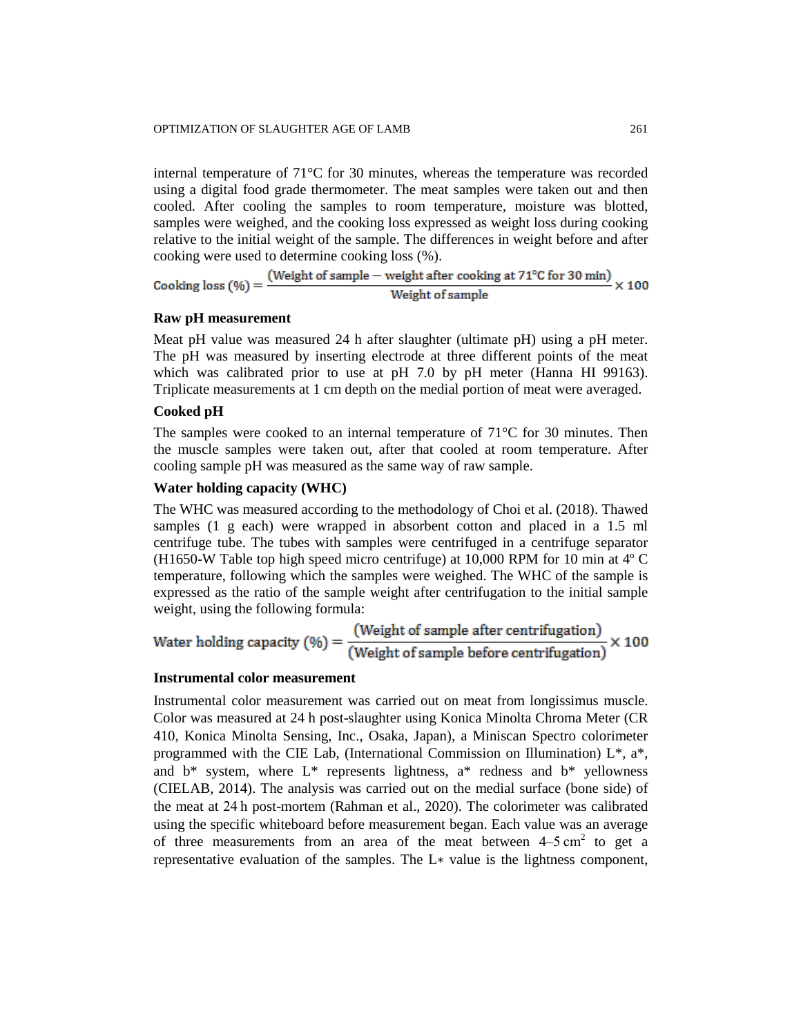internal temperature of 71°C for 30 minutes, whereas the temperature was recorded using a digital food grade thermometer. The meat samples were taken out and then cooled. After cooling the samples to room temperature, moisture was blotted, samples were weighed, and the cooking loss expressed as weight loss during cooking relative to the initial weight of the sample. The differences in weight before and after cooking were used to determine cooking loss (%).

Cooking loss (%) =  $\frac{\text{(Weight of sample - weight after cooking at 71°C for 30 min)}}{\text{Weight of sample}} \times 100$ 

#### **Raw pH measurement**

Meat pH value was measured 24 h after slaughter (ultimate pH) using a pH meter. The pH was measured by inserting electrode at three different points of the meat which was calibrated prior to use at pH 7.0 by pH meter (Hanna HI 99163). Triplicate measurements at 1 cm depth on the medial portion of meat were averaged.

## **Cooked pH**

The samples were cooked to an internal temperature of  $71^{\circ}$ C for 30 minutes. Then the muscle samples were taken out, after that cooled at room temperature. After cooling sample pH was measured as the same way of raw sample.

## **Water holding capacity (WHC)**

The WHC was measured according to the methodology of Choi et al. (2018). Thawed samples (1 g each) were wrapped in absorbent cotton and placed in a 1.5 ml centrifuge tube. The tubes with samples were centrifuged in a centrifuge separator (H1650-W Table top high speed micro centrifuge) at 10,000 RPM for 10 min at 4º C temperature, following which the samples were weighed. The WHC of the sample is expressed as the ratio of the sample weight after centrifugation to the initial sample weight, using the following formula:

Water holding capacity (
$$
\%
$$
) =  $\frac{\text{(Weight of sample after centrifugation)}}{\text{(Weight of sample before centrifugation)}} \times 100$ 

## **Instrumental color measurement**

Instrumental color measurement was carried out on meat from longissimus muscle. Color was measured at 24 h post-slaughter using Konica Minolta Chroma Meter (CR 410, Konica Minolta Sensing, Inc., Osaka, Japan), a Miniscan Spectro colorimeter programmed with the CIE Lab, (International Commission on Illumination)  $L^*$ ,  $a^*$ , and  $b^*$  system, where  $L^*$  represents lightness,  $a^*$  redness and  $b^*$  yellowness (CIELAB, 2014). The analysis was carried out on the medial surface (bone side) of the meat at 24 h post-mortem (Rahman et al., 2020). The colorimeter was calibrated using the specific whiteboard before measurement began. Each value was an average of three measurements from an area of the meat between  $4-5 \text{ cm}^2$  to get a representative evaluation of the samples. The L∗ value is the lightness component,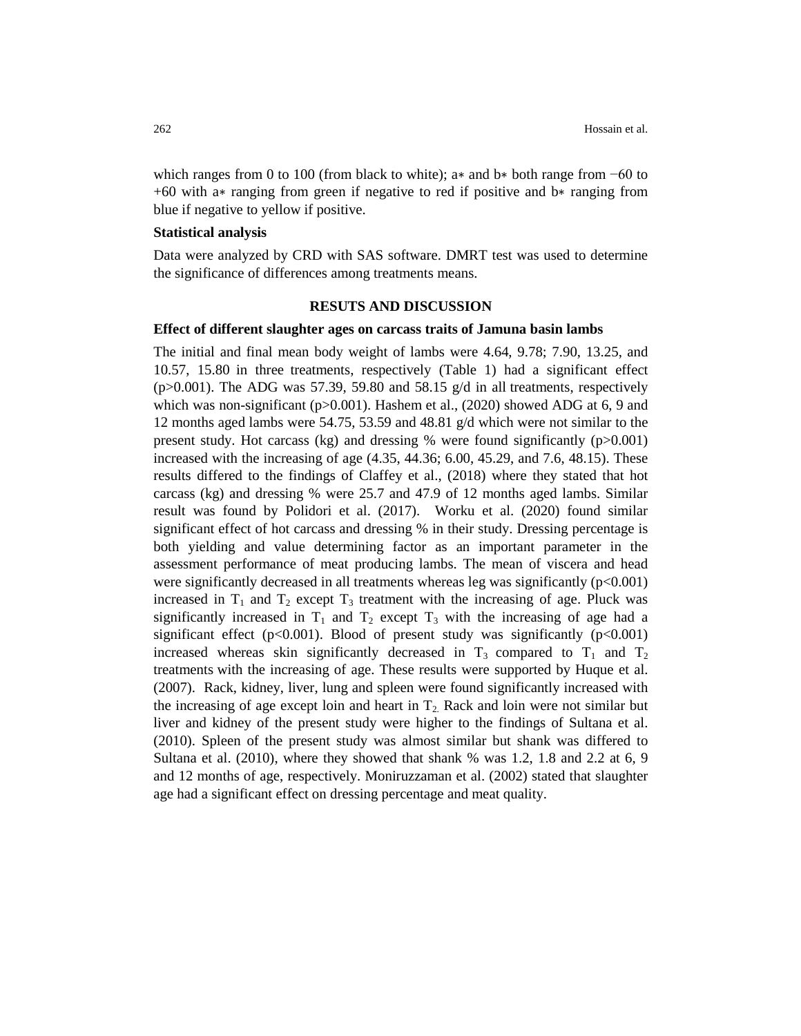which ranges from 0 to 100 (from black to white); a<sup>\*</sup> and b<sup>\*</sup> both range from  $-60$  to +60 with a∗ ranging from green if negative to red if positive and b∗ ranging from blue if negative to yellow if positive.

#### **Statistical analysis**

Data were analyzed by CRD with SAS software. DMRT test was used to determine the significance of differences among treatments means.

#### **RESUTS AND DISCUSSION**

#### **Effect of different slaughter ages on carcass traits of Jamuna basin lambs**

The initial and final mean body weight of lambs were 4.64, 9.78; 7.90, 13.25, and 10.57, 15.80 in three treatments, respectively (Table 1) had a significant effect ( $p > 0.001$ ). The ADG was 57.39, 59.80 and 58.15 g/d in all treatments, respectively which was non-significant ( $p>0.001$ ). Hashem et al., (2020) showed ADG at 6, 9 and 12 months aged lambs were 54.75, 53.59 and 48.81 g/d which were not similar to the present study. Hot carcass (kg) and dressing % were found significantly  $(p>0.001)$ increased with the increasing of age (4.35, 44.36; 6.00, 45.29, and 7.6, 48.15). These results differed to the findings of Claffey et al., (2018) where they stated that hot carcass (kg) and dressing % were 25.7 and 47.9 of 12 months aged lambs. Similar result was found by Polidori et al. (2017). Worku et al. (2020) found similar significant effect of hot carcass and dressing % in their study. Dressing percentage is both yielding and value determining factor as an important parameter in the assessment performance of meat producing lambs. The mean of viscera and head were significantly decreased in all treatments whereas leg was significantly  $(p<0.001)$ increased in  $T_1$  and  $T_2$  except  $T_3$  treatment with the increasing of age. Pluck was significantly increased in  $T_1$  and  $T_2$  except  $T_3$  with the increasing of age had a significant effect ( $p<0.001$ ). Blood of present study was significantly ( $p<0.001$ ) increased whereas skin significantly decreased in  $T_3$  compared to  $T_1$  and  $T_2$ treatments with the increasing of age. These results were supported by Huque et al. (2007). Rack, kidney, liver, lung and spleen were found significantly increased with the increasing of age except loin and heart in  $T_2$ . Rack and loin were not similar but liver and kidney of the present study were higher to the findings of Sultana et al. (2010). Spleen of the present study was almost similar but shank was differed to Sultana et al.  $(2010)$ , where they showed that shank % was 1.2, 1.8 and 2.2 at 6, 9 and 12 months of age, respectively. Moniruzzaman et al. (2002) stated that slaughter age had a significant effect on dressing percentage and meat quality.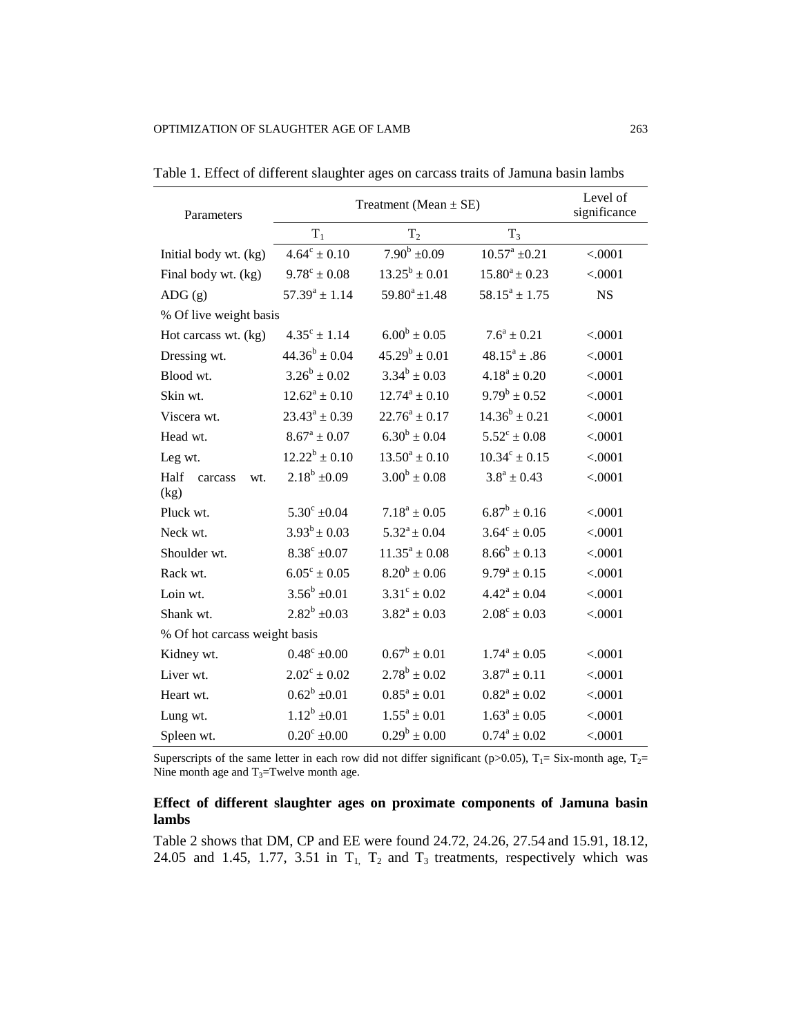| Parameters                     | Treatment (Mean $\pm$ SE)                    | Level of<br>significance |                         |           |  |  |  |  |
|--------------------------------|----------------------------------------------|--------------------------|-------------------------|-----------|--|--|--|--|
|                                | $T_1$                                        | T <sub>2</sub>           | $T_3$                   |           |  |  |  |  |
| Initial body wt. (kg)          | $7.90^b \pm 0.09$<br>$4.64^c \pm 0.10$       |                          | $10.57^a \pm 0.21$      | < .0001   |  |  |  |  |
| Final body wt. (kg)            | $9.78^{\circ} \pm 0.08$                      | $13.25^b \pm 0.01$       | $15.80^a \pm 0.23$      | < .0001   |  |  |  |  |
| ADG(g)                         | $57.39^a \pm 1.14$                           | $59.80^a \pm 1.48$       | $58.15^a \pm 1.75$      | <b>NS</b> |  |  |  |  |
| % Of live weight basis         |                                              |                          |                         |           |  |  |  |  |
| Hot carcass wt. (kg)           | $4.35^{\circ} \pm 1.14$                      | $6.00^b \pm 0.05$        | $7.6^a \pm 0.21$        | < .0001   |  |  |  |  |
| Dressing wt.                   | $44.36^{b} \pm 0.04$                         | $45.29^b \pm 0.01$       | $48.15^a \pm .86$       | < .0001   |  |  |  |  |
| Blood wt.                      | $3.26^b \pm 0.02$                            | $3.34^b \pm 0.03$        | $4.18^a \pm 0.20$       | < .0001   |  |  |  |  |
| Skin wt.                       | $12.62^a \pm 0.10$                           | $12.74^a \pm 0.10$       | $9.79^b \pm 0.52$       | < .0001   |  |  |  |  |
| Viscera wt.                    | $23.43^a \pm 0.39$                           | $22.76^a \pm 0.17$       | $14.36^{b} \pm 0.21$    |           |  |  |  |  |
| Head wt.                       | $8.67^a \pm 0.07$                            | $6.30^b \pm 0.04$        | $5.52^{\circ} \pm 0.08$ | < .0001   |  |  |  |  |
| Leg wt.                        | $12.22^b \pm 0.10$                           | $13.50^a \pm 0.10$       | $10.34^c \pm 0.15$      | < .0001   |  |  |  |  |
| Half<br>wt.<br>carcass<br>(kg) | $2.18^b \pm 0.09$                            | $3.00^b \pm 0.08$        | $3.8^a \pm 0.43$        | < .0001   |  |  |  |  |
| Pluck wt.                      | $5.30^{\circ}$ ±0.04                         | $7.18^a \pm 0.05$        | $6.87^b \pm 0.16$       | < .0001   |  |  |  |  |
| Neck wt.                       | $3.93^b \pm 0.03$                            | $5.32^a \pm 0.04$        | $3.64^c \pm 0.05$       | < .0001   |  |  |  |  |
| Shoulder wt.                   | $8.38^{\circ}$ ±0.07                         | $11.35^a \pm 0.08$       | $8.66^b \pm 0.13$       | < .0001   |  |  |  |  |
| Rack wt.                       | $6.05^{\circ} \pm 0.05$                      | $8.20^b \pm 0.06$        | $9.79^a \pm 0.15$       | < .0001   |  |  |  |  |
| Loin wt.                       | $3.56^b \pm 0.01$                            | $3.31^{\circ} \pm 0.02$  | $4.42^a \pm 0.04$       |           |  |  |  |  |
| Shank wt.                      | $2.82^b \pm 0.03$                            | $3.82^a \pm 0.03$        | $2.08^{\circ} \pm 0.03$ | < .0001   |  |  |  |  |
| % Of hot carcass weight basis  |                                              |                          |                         |           |  |  |  |  |
| Kidney wt.                     | $0.48^{\circ}$ ±0.00                         | $0.67^b \pm 0.01$        | $1.74^a \pm 0.05$       | < .0001   |  |  |  |  |
| Liver wt.                      | $2.02^{\circ} \pm 0.02$                      | $2.78^b \pm 0.02$        | $3.87^a \pm 0.11$       | < .0001   |  |  |  |  |
| Heart wt.                      | $0.62^b \pm 0.01$                            | $0.85^a \pm 0.01$        | $0.82^a \pm 0.02$       | < .0001   |  |  |  |  |
| Lung wt.                       | $1.12^b \pm 0.01$                            | $1.55^a \pm 0.01$        | $1.63^a \pm 0.05$       | < .0001   |  |  |  |  |
| Spleen wt.                     | $0.29^b \pm 0.00$<br>$0.20^{\circ} \pm 0.00$ |                          | $0.74^{\rm a}\pm0.02$   | < .0001   |  |  |  |  |

Table 1. Effect of different slaughter ages on carcass traits of Jamuna basin lambs

Superscripts of the same letter in each row did not differ significant (p>0.05),  $T_1$ = Six-month age,  $T_2$ = Nine month age and  $T_3$ =Twelve month age.

# **Effect of different slaughter ages on proximate components of Jamuna basin lambs**

Table 2 shows that DM, CP and EE were found 24.72, 24.26, 27.54 and 15.91, 18.12, 24.05 and 1.45, 1.77, 3.51 in  $T_1$ ,  $T_2$  and  $T_3$  treatments, respectively which was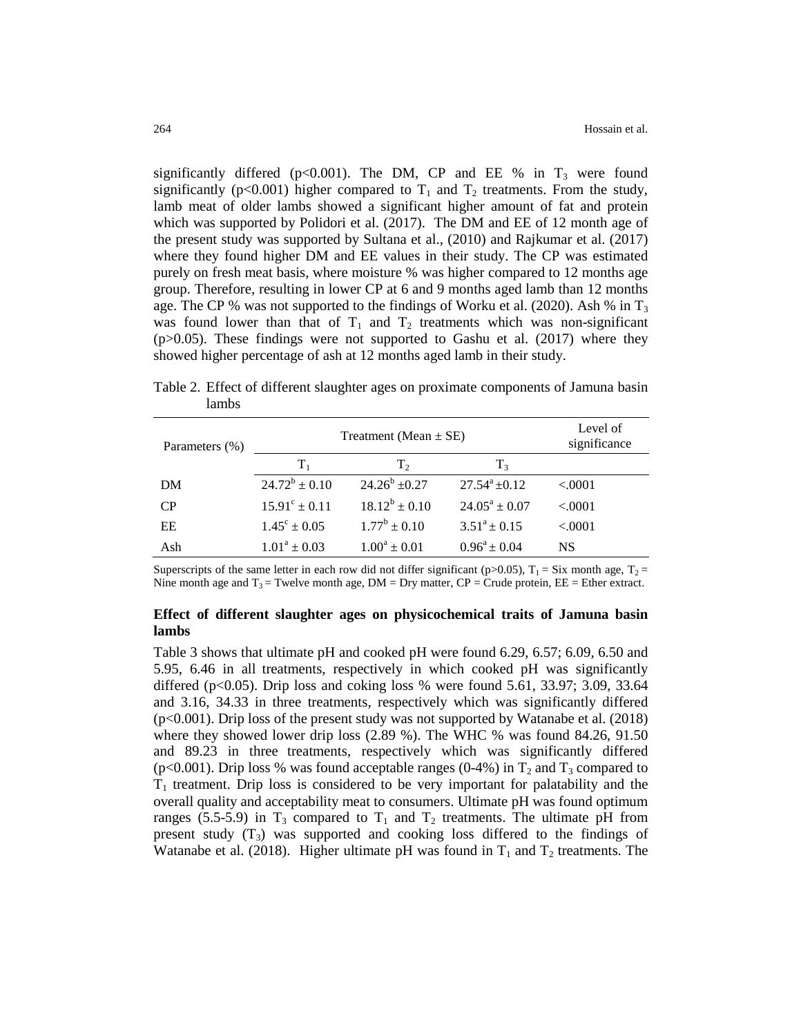significantly differed ( $p<0.001$ ). The DM, CP and EE % in T<sub>3</sub> were found significantly (p<0.001) higher compared to  $T_1$  and  $T_2$  treatments. From the study, lamb meat of older lambs showed a significant higher amount of fat and protein which was supported by Polidori et al. (2017). The DM and EE of 12 month age of the present study was supported by Sultana et al., (2010) and Rajkumar et al. (2017) where they found higher DM and EE values in their study. The CP was estimated purely on fresh meat basis, where moisture % was higher compared to 12 months age group. Therefore, resulting in lower CP at 6 and 9 months aged lamb than 12 months age. The CP % was not supported to the findings of Worku et al. (2020). Ash % in  $T_3$ was found lower than that of  $T_1$  and  $T_2$  treatments which was non-significant (p>0.05). These findings were not supported to Gashu et al. (2017) where they showed higher percentage of ash at 12 months aged lamb in their study.

| Parameters (%) | Treatment (Mean $\pm$ SE) | Level of<br>significance |                    |           |
|----------------|---------------------------|--------------------------|--------------------|-----------|
|                | $T_{1}$                   | $T_{2}$                  | T <sub>3</sub>     |           |
| DM             | $24.72^b \pm 0.10$        | $24.26^b + 0.27$         | $27.54^a \pm 0.12$ | < .0001   |
| <b>CP</b>      | $15.91^{\circ} \pm 0.11$  | $18.12^b \pm 0.10$       | $24.05^a \pm 0.07$ | < .0001   |
| EE             | $1.45^{\circ} \pm 0.05$   | $1.77^b \pm 0.10$        | $3.51^a \pm 0.15$  | < .0001   |
| Ash            | $1.01^a \pm 0.03$         | $1.00^a \pm 0.01$        | $0.96^a \pm 0.04$  | <b>NS</b> |

Table 2. Effect of different slaughter ages on proximate components of Jamuna basin lambs

Superscripts of the same letter in each row did not differ significant (p>0.05),  $T_1 = Six$  month age,  $T_2 =$ Nine month age and  $T_3$  = Twelve month age, DM = Dry matter, CP = Crude protein, EE = Ether extract.

## **Effect of different slaughter ages on physicochemical traits of Jamuna basin lambs**

Table 3 shows that ultimate pH and cooked pH were found 6.29, 6.57; 6.09, 6.50 and 5.95, 6.46 in all treatments, respectively in which cooked pH was significantly differed ( $p<0.05$ ). Drip loss and coking loss % were found 5.61, 33.97; 3.09, 33.64 and 3.16, 34.33 in three treatments, respectively which was significantly differed (p<0.001). Drip loss of the present study was not supported by Watanabe et al. (2018) where they showed lower drip loss (2.89 %). The WHC % was found 84.26, 91.50 and 89.23 in three treatments, respectively which was significantly differed (p<0.001). Drip loss % was found acceptable ranges (0-4%) in  $T_2$  and  $T_3$  compared to  $T_1$  treatment. Drip loss is considered to be very important for palatability and the overall quality and acceptability meat to consumers. Ultimate pH was found optimum ranges (5.5-5.9) in  $T_3$  compared to  $T_1$  and  $T_2$  treatments. The ultimate pH from present study  $(T_3)$  was supported and cooking loss differed to the findings of Watanabe et al. (2018). Higher ultimate pH was found in  $T_1$  and  $T_2$  treatments. The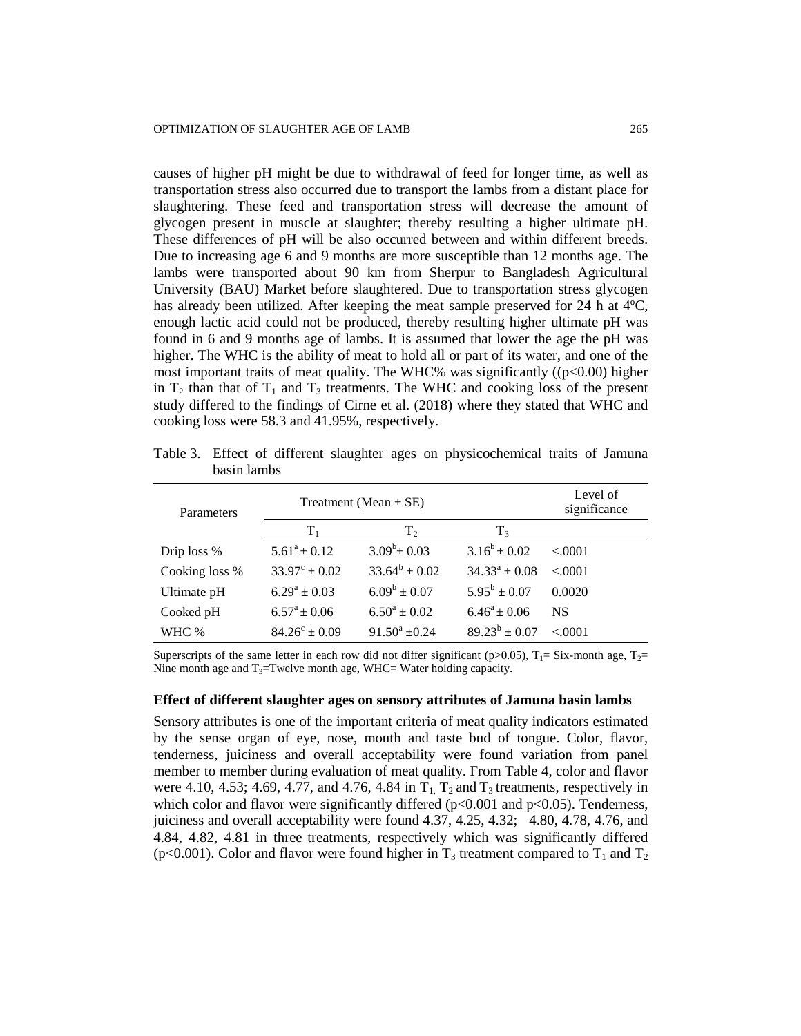causes of higher pH might be due to withdrawal of feed for longer time, as well as transportation stress also occurred due to transport the lambs from a distant place for slaughtering. These feed and transportation stress will decrease the amount of glycogen present in muscle at slaughter; thereby resulting a higher ultimate pH. These differences of pH will be also occurred between and within different breeds. Due to increasing age 6 and 9 months are more susceptible than 12 months age. The lambs were transported about 90 km from Sherpur to Bangladesh Agricultural University (BAU) Market before slaughtered. Due to transportation stress glycogen has already been utilized. After keeping the meat sample preserved for 24 h at  $4^{\circ}$ C, enough lactic acid could not be produced, thereby resulting higher ultimate pH was found in 6 and 9 months age of lambs. It is assumed that lower the age the pH was higher. The WHC is the ability of meat to hold all or part of its water, and one of the most important traits of meat quality. The WHC% was significantly  $((p<0.00)$  higher in  $T_2$  than that of  $T_1$  and  $T_3$  treatments. The WHC and cooking loss of the present study differed to the findings of Cirne et al. (2018) where they stated that WHC and cooking loss were 58.3 and 41.95%, respectively.

Parameters Treatment (Mean  $\pm$  SE) Level of significance  $T_1$   $T_2$   $T_3$ Drip loss %  $5.61^a \pm 0.12$  $3.09^b \pm 0.03$   $3.16^b \pm 0.02$  $< .0001$ Cooking loss %  $33.97^{\circ} \pm 0.02$  $33.64^b \pm 0.02$  $\pm 0.02$   $34.33^{\circ} \pm 0.08$  <.0001 Ultimate pH  $6.29^a \pm 0.03$  $6.09^b \pm 0.07$   $5.95^b \pm 0.07$ 0.0020 Cooked pH  $6.57^a \pm 0.06$  $6.50^a \pm 0.02$  $6.46^a \pm 0.06$  NS WHC %  $84.26^{\circ} \pm 0.09$  91.50<sup>a</sup>  $\pm 0.24$  $89.23^b \pm 0.07$  $< .0001$ 

Table 3. Effect of different slaughter ages on physicochemical traits of Jamuna basin lambs

Superscripts of the same letter in each row did not differ significant (p>0.05),  $T_1$ = Six-month age,  $T_2$ = Nine month age and  $T_3$ =Twelve month age, WHC= Water holding capacity.

#### **Effect of different slaughter ages on sensory attributes of Jamuna basin lambs**

Sensory attributes is one of the important criteria of meat quality indicators estimated by the sense organ of eye, nose, mouth and taste bud of tongue. Color, flavor, tenderness, juiciness and overall acceptability were found variation from panel member to member during evaluation of meat quality. From Table 4, color and flavor were 4.10, 4.53; 4.69, 4.77, and 4.76, 4.84 in  $T_1$ ,  $T_2$  and  $T_3$  treatments, respectively in which color and flavor were significantly differed ( $p<0.001$  and  $p<0.05$ ). Tenderness, juiciness and overall acceptability were found 4.37, 4.25, 4.32; 4.80, 4.78, 4.76, and 4.84, 4.82, 4.81 in three treatments, respectively which was significantly differed (p<0.001). Color and flavor were found higher in  $T_3$  treatment compared to  $T_1$  and  $T_2$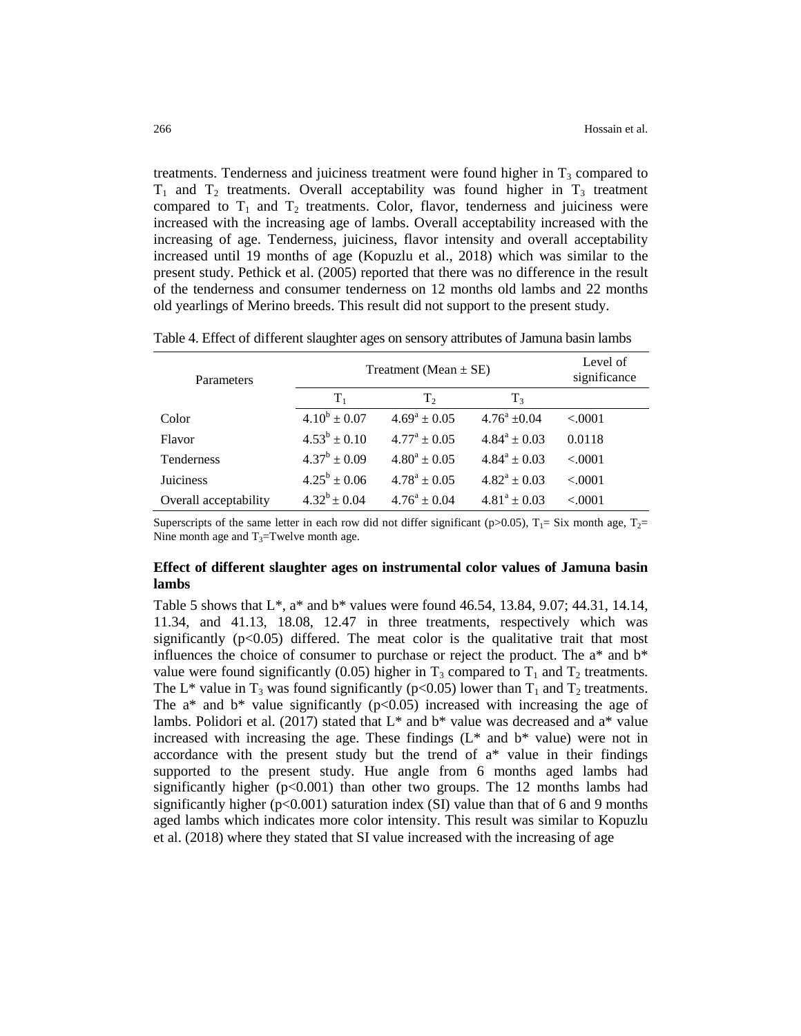treatments. Tenderness and juiciness treatment were found higher in  $T_3$  compared to  $T_1$  and  $T_2$  treatments. Overall acceptability was found higher in  $T_3$  treatment compared to  $T_1$  and  $T_2$  treatments. Color, flavor, tenderness and juiciness were increased with the increasing age of lambs. Overall acceptability increased with the increasing of age. Tenderness, juiciness, flavor intensity and overall acceptability increased until 19 months of age (Kopuzlu et al., 2018) which was similar to the present study. Pethick et al. (2005) reported that there was no difference in the result of the tenderness and consumer tenderness on 12 months old lambs and 22 months old yearlings of Merino breeds. This result did not support to the present study.

| Parameters            | Treatment (Mean $\pm$ SE) | Level of<br>significance |                   |         |
|-----------------------|---------------------------|--------------------------|-------------------|---------|
|                       | $T_1$                     | T <sub>2</sub>           | T <sub>3</sub>    |         |
| Color                 | $4.10^b \pm 0.07$         | $4.69^a \pm 0.05$        | $4.76^a \pm 0.04$ | < .0001 |
| Flavor                | $4.53^b \pm 0.10$         | $4.77^{\rm a} + 0.05$    | $4.84^a \pm 0.03$ | 0.0118  |
| <b>Tenderness</b>     | $4.37^b \pm 0.09$         | $4.80^a + 0.05$          | $4.84^a \pm 0.03$ | < 0.001 |
| <b>Juiciness</b>      | $4.25^{\rm b}$ + 0.06     | $4.78^a + 0.05$          | $4.82^a \pm 0.03$ | < .0001 |
| Overall acceptability | $4.32^b \pm 0.04$         | $4.76^a \pm 0.04$        | $4.81^a \pm 0.03$ | < 0.001 |

Table 4. Effect of different slaughter ages on sensory attributes of Jamuna basin lambs

Superscripts of the same letter in each row did not differ significant (p>0.05),  $T_1$ = Six month age,  $T_2$ = Nine month age and  $T_3$ =Twelve month age.

# **Effect of different slaughter ages on instrumental color values of Jamuna basin lambs**

Table 5 shows that L\*, a\* and b\* values were found 46.54, 13.84, 9.07; 44.31, 14.14, 11.34, and 41.13, 18.08, 12.47 in three treatments, respectively which was significantly  $(p<0.05)$  differed. The meat color is the qualitative trait that most influences the choice of consumer to purchase or reject the product. The  $a^*$  and  $b^*$ value were found significantly (0.05) higher in  $T_3$  compared to  $T_1$  and  $T_2$  treatments. The L<sup>\*</sup> value in T<sub>3</sub> was found significantly (p<0.05) lower than T<sub>1</sub> and T<sub>2</sub> treatments. The  $a^*$  and  $b^*$  value significantly ( $p<0.05$ ) increased with increasing the age of lambs. Polidori et al. (2017) stated that  $L^*$  and  $b^*$  value was decreased and  $a^*$  value increased with increasing the age. These findings  $(L^*$  and  $b^*$  value) were not in accordance with the present study but the trend of a\* value in their findings supported to the present study. Hue angle from 6 months aged lambs had significantly higher ( $p<0.001$ ) than other two groups. The 12 months lambs had significantly higher ( $p<0.001$ ) saturation index (SI) value than that of 6 and 9 months aged lambs which indicates more color intensity. This result was similar to Kopuzlu et al. (2018) where they stated that SI value increased with the increasing of age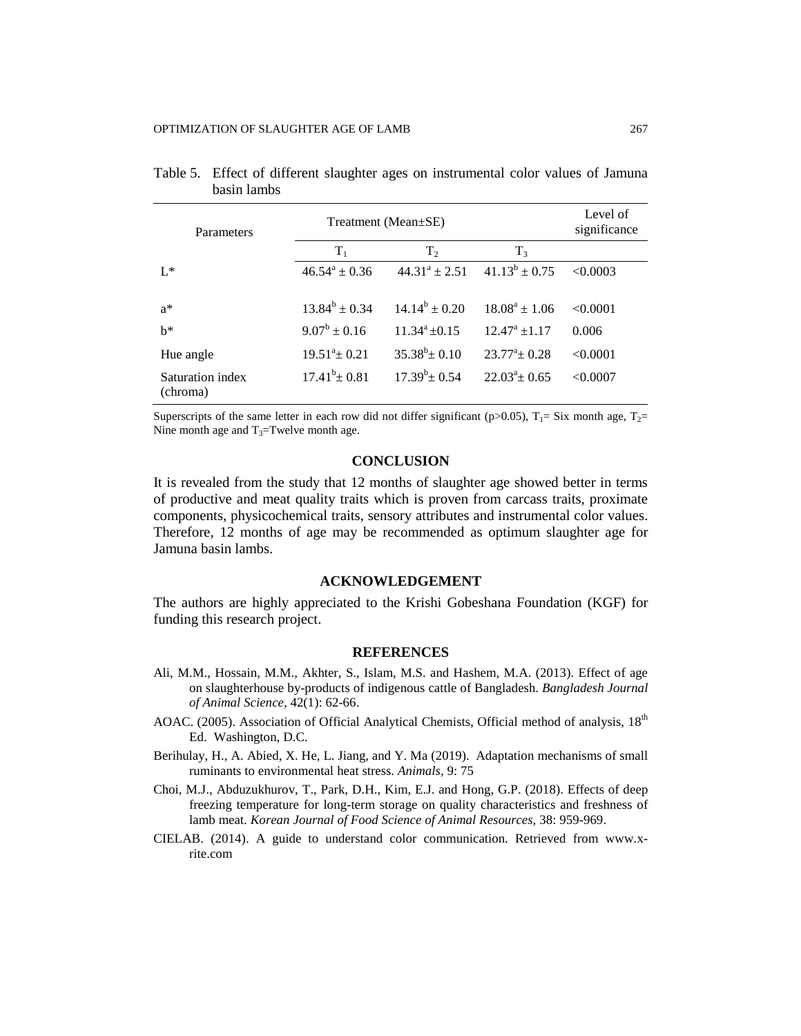| Parameters                   | Treatment (Mean±SE) | Level of<br>significance |                        |          |
|------------------------------|---------------------|--------------------------|------------------------|----------|
|                              | $T_1$               | T <sub>2</sub>           | $T_3$                  |          |
| $I^*$                        | $46.54^a \pm 0.36$  | $44.31^a \pm 2.51$       | $41.13^b \pm 0.75$     | < 0.0003 |
| $a^*$                        | $13.84^b \pm 0.34$  | $14.14^b \pm 0.20$       | $18.08^a + 1.06$       | < 0.0001 |
| $h^*$                        | $9.07^b \pm 0.16$   | $11.34^a + 0.15$         | $12.47^{\rm a}$ ± 1.17 | 0.006    |
| Hue angle                    | $19.51^a \pm 0.21$  | $35.38^b \pm 0.10$       | $23.77^{\circ}+0.28$   | < 0.0001 |
| Saturation index<br>(chroma) | $17.41^b \pm 0.81$  | $17.39^b \pm 0.54$       | $22.03^4$ + 0.65       | < 0.0007 |

| Table 5. Effect of different slaughter ages on instrumental color values of Jamuna |  |  |  |  |
|------------------------------------------------------------------------------------|--|--|--|--|
| basin lambs                                                                        |  |  |  |  |

Superscripts of the same letter in each row did not differ significant (p>0.05),  $T_1 = Six$  month age,  $T_2=$ Nine month age and  $T_3$ =Twelve month age.

## **CONCLUSION**

It is revealed from the study that 12 months of slaughter age showed better in terms of productive and meat quality traits which is proven from carcass traits, proximate components, physicochemical traits, sensory attributes and instrumental color values. Therefore, 12 months of age may be recommended as optimum slaughter age for Jamuna basin lambs.

# **ACKNOWLEDGEMENT**

The authors are highly appreciated to the Krishi Gobeshana Foundation (KGF) for funding this research project.

#### **REFERENCES**

- Ali, M.M., Hossain, M.M., Akhter, S., Islam, M.S. and Hashem, M.A. (2013). Effect of age on slaughterhouse by-products of indigenous cattle of Bangladesh. *Bangladesh Journal of Animal Science,* 42(1): 62-66.
- AOAC. (2005). Association of Official Analytical Chemists, Official method of analysis, 18<sup>th</sup> Ed. Washington, D.C.
- Berihulay, H., A. Abied, X. He, L. Jiang, and Y. Ma (2019). Adaptation mechanisms of small ruminants to environmental heat stress. *Animals,* 9: 75
- Choi, M.J., Abduzukhurov, T., Park, D.H., Kim, E.J. and Hong, G.P. (2018). Effects of deep freezing temperature for long-term storage on quality characteristics and freshness of lamb meat. *Korean Journal of Food Science of Animal Resources,* 38: 959-969.
- CIELAB. (2014). A guide to understand color communication. Retrieved from www.xrite.com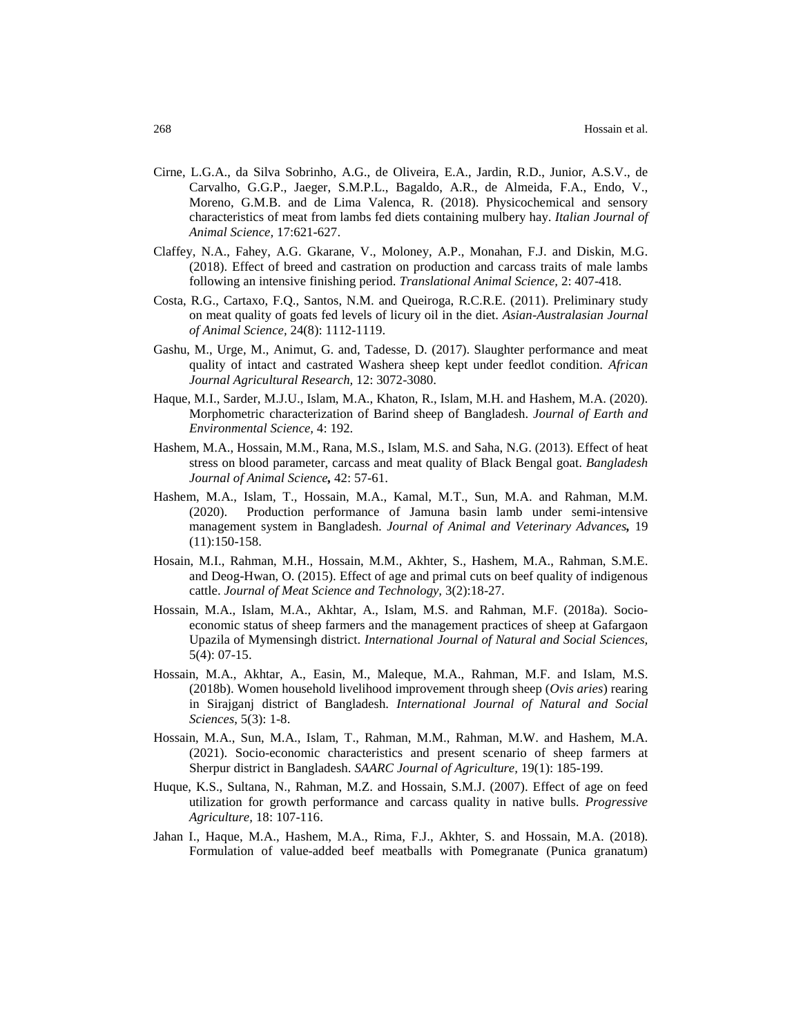- Cirne, L.G.A., da Silva Sobrinho, A.G., de Oliveira, E.A., Jardin, R.D., Junior, A.S.V., de Carvalho, G.G.P., Jaeger, S.M.P.L., Bagaldo, A.R., de Almeida, F.A., Endo, V., Moreno, G.M.B. and de Lima Valenca, R. (2018). Physicochemical and sensory characteristics of meat from lambs fed diets containing mulbery hay. *Italian Journal of Animal Science,* 17:621-627.
- Claffey, N.A., Fahey, A.G. Gkarane, V., Moloney, A.P., Monahan, F.J. and Diskin, M.G. (2018). Effect of breed and castration on production and carcass traits of male lambs following an intensive finishing period. *Translational Animal Science,* 2: 407-418.
- Costa, R.G., Cartaxo, F.Q., Santos, N.M. and Queiroga, R.C.R.E. (2011). Preliminary study on meat quality of goats fed levels of licury oil in the diet. *Asian-Australasian Journal of Animal Science,* 24(8): 1112-1119.
- Gashu, M., Urge, M., Animut, G. and, Tadesse, D. (2017). Slaughter performance and meat quality of intact and castrated Washera sheep kept under feedlot condition. *African Journal Agricultural Research,* 12: 3072-3080.
- Haque, M.I., Sarder, M.J.U., Islam, M.A., Khaton, R., Islam, M.H. and Hashem, M.A. (2020). Morphometric characterization of Barind sheep of Bangladesh. *Journal of Earth and Environmental Science,* 4: 192.
- Hashem, M.A., Hossain, M.M., Rana, M.S., Islam, M.S. and Saha, N.G. (2013). Effect of heat stress on blood parameter, carcass and meat quality of Black Bengal goat. *Bangladesh Journal of Animal Science,* 42: 57-61.
- Hashem, M.A., Islam, T., Hossain, M.A., Kamal, M.T., Sun, M.A. and Rahman, M.M. (2020). Production performance of Jamuna basin lamb under semi-intensive management system in Bangladesh. *Journal of Animal and Veterinary Advances,* 19 (11):150-158.
- Hosain, M.I., Rahman, M.H., Hossain, M.M., Akhter, S., Hashem, M.A., Rahman, S.M.E. and Deog-Hwan, O. (2015). Effect of age and primal cuts on beef quality of indigenous cattle. *Journal of Meat Science and Technology,* 3(2):18-27.
- Hossain, M.A., Islam, M.A., Akhtar, A., Islam, M.S. and Rahman, M.F. (2018a). Socioeconomic status of sheep farmers and the management practices of sheep at Gafargaon Upazila of Mymensingh district. *International Journal of Natural and Social Sciences,* 5(4): 07-15.
- Hossain, M.A., Akhtar, A., Easin, M., Maleque, M.A., Rahman, M.F. and Islam, M.S. (2018b). Women household livelihood improvement through sheep (*Ovis aries*) rearing in Sirajganj district of Bangladesh. *International Journal of Natural and Social Sciences*, 5(3): 1-8.
- Hossain, M.A., Sun, M.A., Islam, T., Rahman, M.M., Rahman, M.W. and Hashem, M.A. (2021). Socio-economic characteristics and present scenario of sheep farmers at Sherpur district in Bangladesh. *SAARC Journal of Agriculture,* 19(1): 185-199.
- Huque, K.S., Sultana, N., Rahman, M.Z. and Hossain, S.M.J. (2007). Effect of age on feed utilization for growth performance and carcass quality in native bulls. *Progressive Agriculture,* 18: 107-116.
- Jahan I., Haque, M.A., Hashem, M.A., Rima, F.J., Akhter, S. and Hossain, M.A. (2018). Formulation of value-added beef meatballs with Pomegranate (Punica granatum)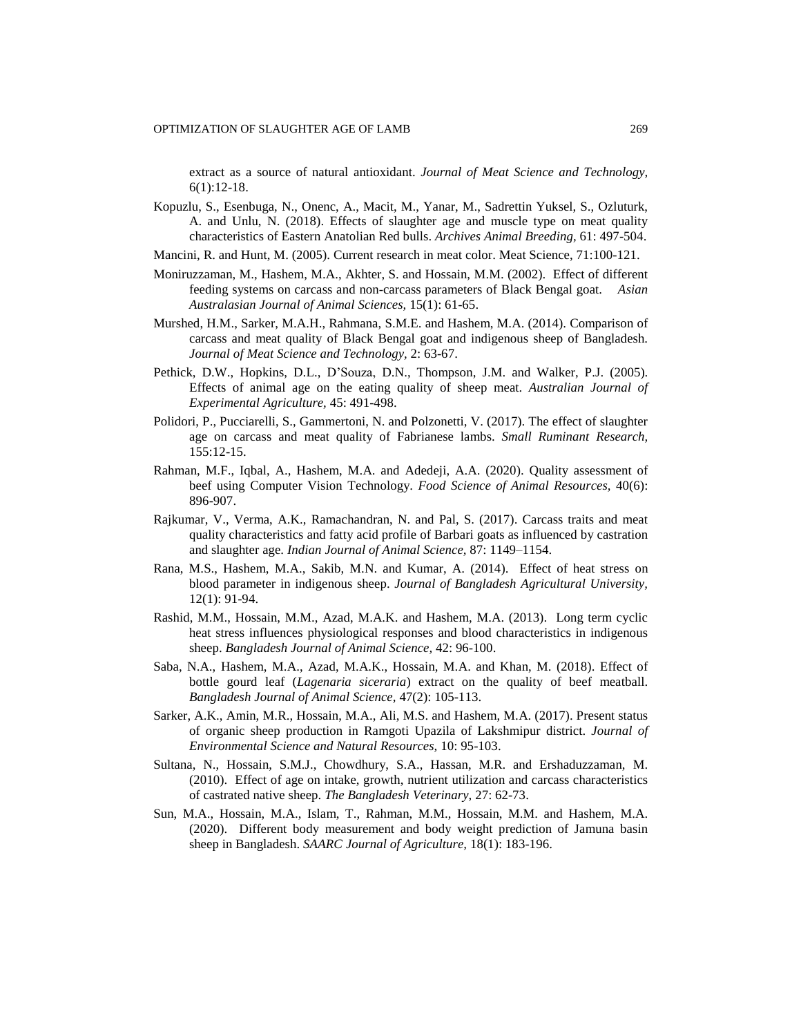extract as a source of natural antioxidant. *Journal of Meat Science and Technology,* 6(1):12-18.

- Kopuzlu, S., Esenbuga, N., Onenc, A., Macit, M., Yanar, M., Sadrettin Yuksel, S., Ozluturk, A. and Unlu, N. (2018). Effects of slaughter age and muscle type on meat quality characteristics of Eastern Anatolian Red bulls. *Archives Animal Breeding,* 61: 497-504.
- Mancini, R. and Hunt, M. (2005). Current research in meat color. Meat Science, 71:100-121.
- Moniruzzaman, M., Hashem, M.A., Akhter, S. and Hossain, M.M. (2002). Effect of different feeding systems on carcass and non-carcass parameters of Black Bengal goat. *Asian Australasian Journal of Animal Sciences,* 15(1): 61-65.
- Murshed, H.M., Sarker, M.A.H., Rahmana, S.M.E. and Hashem, M.A. (2014). Comparison of carcass and meat quality of Black Bengal goat and indigenous sheep of Bangladesh. *Journal of Meat Science and Technology,* 2: 63-67.
- Pethick, D.W., Hopkins, D.L., D'Souza, D.N., Thompson, J.M. and Walker, P.J. (2005). Effects of animal age on the eating quality of sheep meat. *Australian Journal of Experimental Agriculture,* 45: 491-498.
- Polidori, P., Pucciarelli, S., Gammertoni, N. and Polzonetti, V. (2017). The effect of slaughter age on carcass and meat quality of Fabrianese lambs. *Small Ruminant Research,* 155:12-15.
- Rahman, M.F., Iqbal, A., Hashem, M.A. and Adedeji, A.A. (2020). Quality assessment of beef using Computer Vision Technology. *Food Science of Animal Resources,* 40(6): 896-907.
- Rajkumar, V., Verma, A.K., Ramachandran, N. and Pal, S. (2017). Carcass traits and meat quality characteristics and fatty acid profile of Barbari goats as influenced by castration and slaughter age. *Indian Journal of Animal Science,* 87: 1149–1154.
- Rana, M.S., Hashem, M.A., Sakib, M.N. and Kumar, A. (2014). Effect of heat stress on blood parameter in indigenous sheep. *Journal of Bangladesh Agricultural University,* 12(1): 91-94.
- Rashid, M.M., Hossain, M.M., Azad, M.A.K. and Hashem, M.A. (2013). Long term cyclic heat stress influences physiological responses and blood characteristics in indigenous sheep. *Bangladesh Journal of Animal Science,* 42: 96-100.
- Saba, N.A., Hashem, M.A., Azad, M.A.K., Hossain, M.A. and Khan, M. (2018). Effect of bottle gourd leaf (*Lagenaria siceraria*) extract on the quality of beef meatball. *Bangladesh Journal of Animal Science,* 47(2): 105-113.
- Sarker, A.K., Amin, M.R., Hossain, M.A., Ali, M.S. and Hashem, M.A. (2017). Present status of organic sheep production in Ramgoti Upazila of Lakshmipur district. *Journal of Environmental Science and Natural Resources,* 10: 95-103.
- Sultana, N., Hossain, S.M.J., Chowdhury, S.A., Hassan, M.R. and Ershaduzzaman, M. (2010). Effect of age on intake, growth, nutrient utilization and carcass characteristics of castrated native sheep. *The Bangladesh Veterinary,* 27: 62-73.
- Sun, M.A., Hossain, M.A., Islam, T., Rahman, M.M., Hossain, M.M. and Hashem, M.A. (2020). Different body measurement and body weight prediction of Jamuna basin sheep in Bangladesh. *SAARC Journal of Agriculture,* 18(1): 183-196.